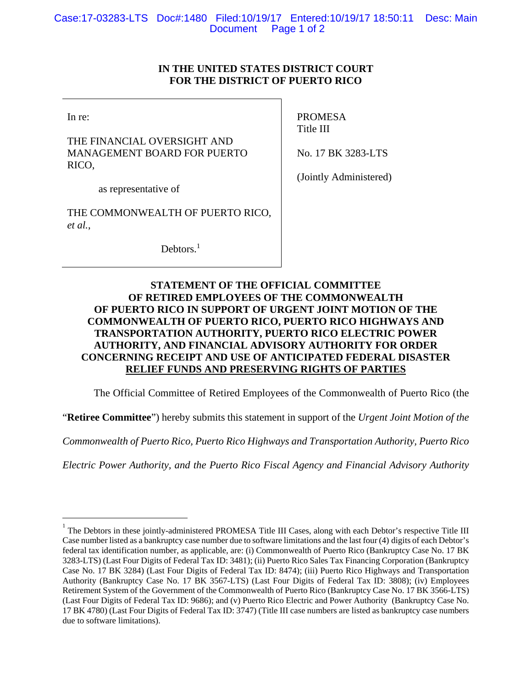## **IN THE UNITED STATES DISTRICT COURT FOR THE DISTRICT OF PUERTO RICO**

In re:

1

THE FINANCIAL OVERSIGHT AND MANAGEMENT BOARD FOR PUERTO RICO,

PROMESA Title III

No. 17 BK 3283-LTS

as representative of

THE COMMONWEALTH OF PUERTO RICO, *et al.*,

Debtors.<sup>1</sup>

(Jointly Administered)

## **STATEMENT OF THE OFFICIAL COMMITTEE OF RETIRED EMPLOYEES OF THE COMMONWEALTH OF PUERTO RICO IN SUPPORT OF URGENT JOINT MOTION OF THE COMMONWEALTH OF PUERTO RICO, PUERTO RICO HIGHWAYS AND TRANSPORTATION AUTHORITY, PUERTO RICO ELECTRIC POWER AUTHORITY, AND FINANCIAL ADVISORY AUTHORITY FOR ORDER CONCERNING RECEIPT AND USE OF ANTICIPATED FEDERAL DISASTER RELIEF FUNDS AND PRESERVING RIGHTS OF PARTIES**

The Official Committee of Retired Employees of the Commonwealth of Puerto Rico (the

"**Retiree Committee**") hereby submits this statement in support of the *Urgent Joint Motion of the* 

*Commonwealth of Puerto Rico, Puerto Rico Highways and Transportation Authority, Puerto Rico* 

*Electric Power Authority, and the Puerto Rico Fiscal Agency and Financial Advisory Authority* 

<sup>1</sup> The Debtors in these jointly-administered PROMESA Title III Cases, along with each Debtor's respective Title III Case number listed as a bankruptcy case number due to software limitations and the last four (4) digits of each Debtor's federal tax identification number, as applicable, are: (i) Commonwealth of Puerto Rico (Bankruptcy Case No. 17 BK 3283-LTS) (Last Four Digits of Federal Tax ID: 3481); (ii) Puerto Rico Sales Tax Financing Corporation (Bankruptcy Case No. 17 BK 3284) (Last Four Digits of Federal Tax ID: 8474); (iii) Puerto Rico Highways and Transportation Authority (Bankruptcy Case No. 17 BK 3567-LTS) (Last Four Digits of Federal Tax ID: 3808); (iv) Employees Retirement System of the Government of the Commonwealth of Puerto Rico (Bankruptcy Case No. 17 BK 3566-LTS) (Last Four Digits of Federal Tax ID: 9686); and (v) Puerto Rico Electric and Power Authority (Bankruptcy Case No. 17 BK 4780) (Last Four Digits of Federal Tax ID: 3747) (Title III case numbers are listed as bankruptcy case numbers due to software limitations).